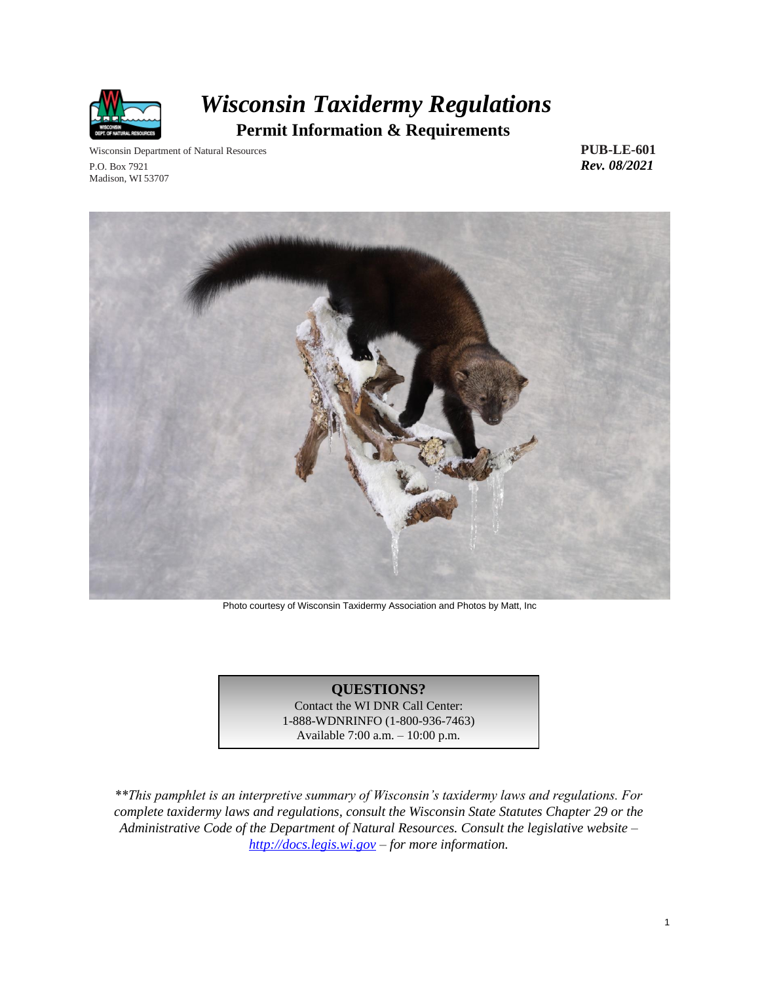

# *Wisconsin Taxidermy Regulations*  **Permit Information & Requirements**

Wisconsin Department of Natural Resources **PUB-LE-601** P.O. Box 7921 *Rev. 08/2021* Madison, WI 53707



Photo courtesy of Wisconsin Taxidermy Association and Photos by Matt, Inc

### **QUESTIONS?**

Contact the WI DNR Call Center: 1-888-WDNRINFO (1-800-936-7463) Available 7:00 a.m. – 10:00 p.m.

*\*\*This pamphlet is an interpretive summary of Wisconsin's taxidermy laws and regulations. For complete taxidermy laws and regulations, consult the Wisconsin State Statutes Chapter 29 or the Administrative Code of the Department of Natural Resources. Consult the legislative website – [http://docs.legis.wi.gov](http://docs.legis.wi.gov/) – for more information.*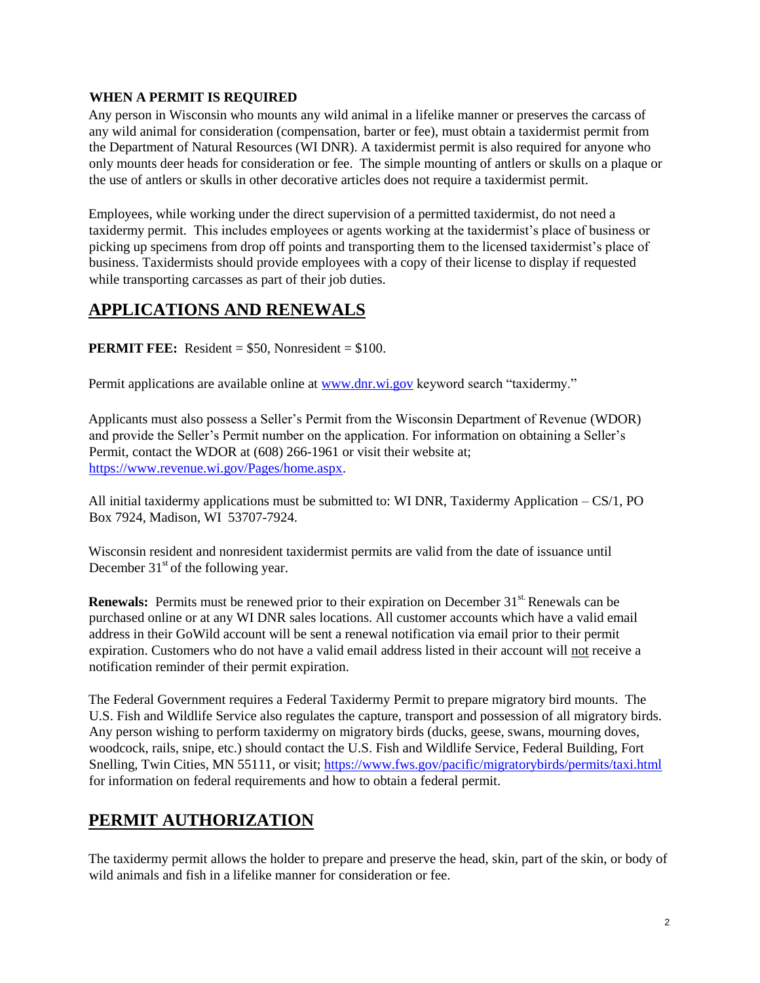### **WHEN A PERMIT IS REQUIRED**

Any person in Wisconsin who mounts any wild animal in a lifelike manner or preserves the carcass of any wild animal for consideration (compensation, barter or fee), must obtain a taxidermist permit from the Department of Natural Resources (WI DNR). A taxidermist permit is also required for anyone who only mounts deer heads for consideration or fee. The simple mounting of antlers or skulls on a plaque or the use of antlers or skulls in other decorative articles does not require a taxidermist permit.

Employees, while working under the direct supervision of a permitted taxidermist, do not need a taxidermy permit. This includes employees or agents working at the taxidermist's place of business or picking up specimens from drop off points and transporting them to the licensed taxidermist's place of business. Taxidermists should provide employees with a copy of their license to display if requested while transporting carcasses as part of their job duties.

## **APPLICATIONS AND RENEWALS**

**PERMIT FEE:** Resident = \$50, Nonresident = \$100.

Permit applications are available online at [www.dnr.wi.gov](http://www.dnr.wi.gov/) keyword search "taxidermy."

Applicants must also possess a Seller's Permit from the Wisconsin Department of Revenue (WDOR) and provide the Seller's Permit number on the application. For information on obtaining a Seller's Permit, contact the WDOR at (608) 266-1961 or visit their website at; [https://www.revenue.wi.gov/Pages/home.aspx.](https://www.revenue.wi.gov/Pages/home.aspx)

All initial taxidermy applications must be submitted to: WI DNR, Taxidermy Application – CS/1, PO Box 7924, Madison, WI 53707-7924.

Wisconsin resident and nonresident taxidermist permits are valid from the date of issuance until December  $31<sup>st</sup>$  of the following year.

**Renewals:** Permits must be renewed prior to their expiration on December 31<sup>st.</sup> Renewals can be purchased online or at any WI DNR sales locations. All customer accounts which have a valid email address in their GoWild account will be sent a renewal notification via email prior to their permit expiration. Customers who do not have a valid email address listed in their account will not receive a notification reminder of their permit expiration.

The Federal Government requires a Federal Taxidermy Permit to prepare migratory bird mounts. The U.S. Fish and Wildlife Service also regulates the capture, transport and possession of all migratory birds. Any person wishing to perform taxidermy on migratory birds (ducks, geese, swans, mourning doves, woodcock, rails, snipe, etc.) should contact the U.S. Fish and Wildlife Service, Federal Building, Fort Snelling, Twin Cities, MN 55111, or visit;<https://www.fws.gov/pacific/migratorybirds/permits/taxi.html> for information on federal requirements and how to obtain a federal permit.

### **PERMIT AUTHORIZATION**

The taxidermy permit allows the holder to prepare and preserve the head, skin, part of the skin, or body of wild animals and fish in a lifelike manner for consideration or fee.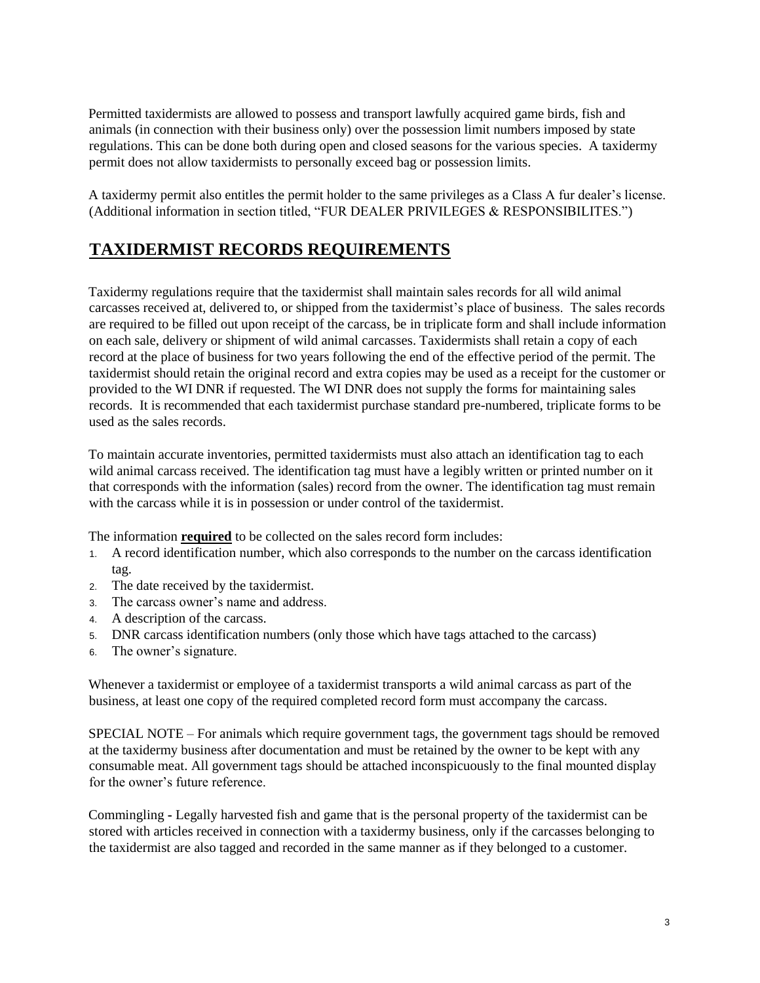Permitted taxidermists are allowed to possess and transport lawfully acquired game birds, fish and animals (in connection with their business only) over the possession limit numbers imposed by state regulations. This can be done both during open and closed seasons for the various species. A taxidermy permit does not allow taxidermists to personally exceed bag or possession limits.

A taxidermy permit also entitles the permit holder to the same privileges as a Class A fur dealer's license. (Additional information in section titled, "FUR DEALER PRIVILEGES & RESPONSIBILITES.")

## **TAXIDERMIST RECORDS REQUIREMENTS**

Taxidermy regulations require that the taxidermist shall maintain sales records for all wild animal carcasses received at, delivered to, or shipped from the taxidermist's place of business. The sales records are required to be filled out upon receipt of the carcass, be in triplicate form and shall include information on each sale, delivery or shipment of wild animal carcasses. Taxidermists shall retain a copy of each record at the place of business for two years following the end of the effective period of the permit. The taxidermist should retain the original record and extra copies may be used as a receipt for the customer or provided to the WI DNR if requested. The WI DNR does not supply the forms for maintaining sales records. It is recommended that each taxidermist purchase standard pre-numbered, triplicate forms to be used as the sales records.

To maintain accurate inventories, permitted taxidermists must also attach an identification tag to each wild animal carcass received. The identification tag must have a legibly written or printed number on it that corresponds with the information (sales) record from the owner. The identification tag must remain with the carcass while it is in possession or under control of the taxidermist.

The information **required** to be collected on the sales record form includes:

- 1. A record identification number, which also corresponds to the number on the carcass identification tag.
- 2. The date received by the taxidermist.
- 3. The carcass owner's name and address.
- 4. A description of the carcass.
- 5. DNR carcass identification numbers (only those which have tags attached to the carcass)
- 6. The owner's signature.

Whenever a taxidermist or employee of a taxidermist transports a wild animal carcass as part of the business, at least one copy of the required completed record form must accompany the carcass.

SPECIAL NOTE – For animals which require government tags, the government tags should be removed at the taxidermy business after documentation and must be retained by the owner to be kept with any consumable meat. All government tags should be attached inconspicuously to the final mounted display for the owner's future reference.

Commingling **-** Legally harvested fish and game that is the personal property of the taxidermist can be stored with articles received in connection with a taxidermy business, only if the carcasses belonging to the taxidermist are also tagged and recorded in the same manner as if they belonged to a customer.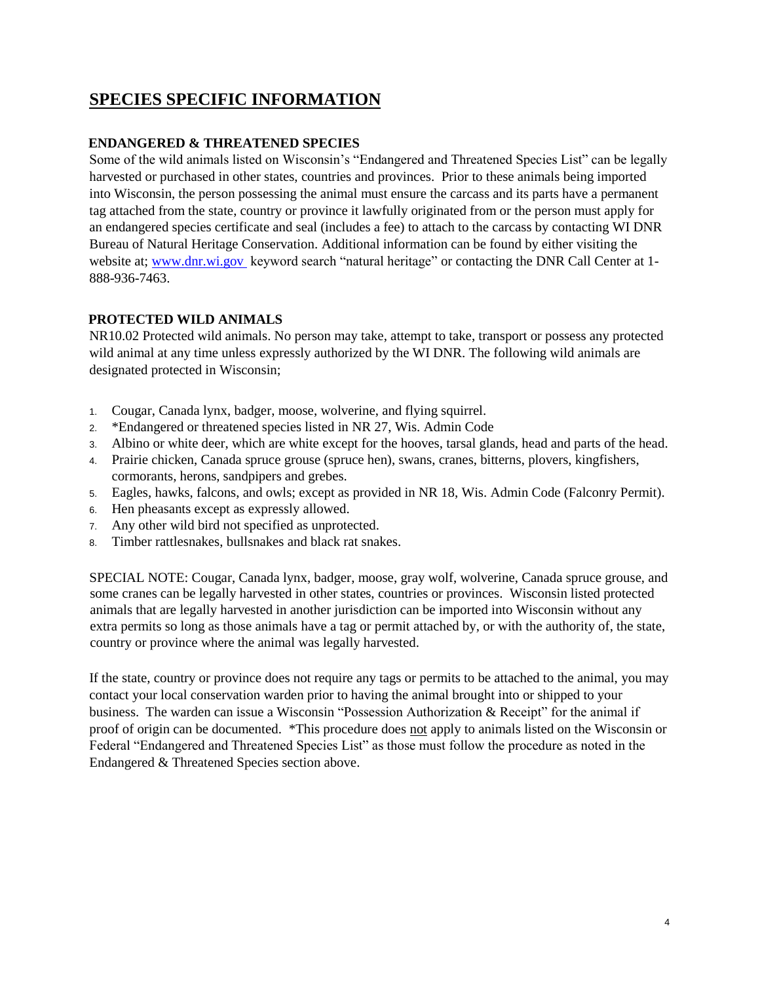## **SPECIES SPECIFIC INFORMATION**

### **ENDANGERED & THREATENED SPECIES**

Some of the wild animals listed on Wisconsin's "Endangered and Threatened Species List" can be legally harvested or purchased in other states, countries and provinces. Prior to these animals being imported into Wisconsin, the person possessing the animal must ensure the carcass and its parts have a permanent tag attached from the state, country or province it lawfully originated from or the person must apply for an endangered species certificate and seal (includes a fee) to attach to the carcass by contacting WI DNR Bureau of Natural Heritage Conservation. Additional information can be found by either visiting the website at; [www.dnr.wi.gov](http://www.dnr.wi.gov/) keyword search "natural heritage" or contacting the DNR Call Center at 1- 888-936-7463.

### **PROTECTED WILD ANIMALS**

NR10.02 Protected wild animals. No person may take, attempt to take, transport or possess any protected wild animal at any time unless expressly authorized by the WI DNR. The following wild animals are designated protected in Wisconsin;

- 1. Cougar, Canada lynx, badger, moose, wolverine, and flying squirrel.
- 2. \*Endangered or threatened species listed in NR 27, Wis. Admin Code
- 3. Albino or white deer, which are white except for the hooves, tarsal glands, head and parts of the head.
- 4. Prairie chicken, Canada spruce grouse (spruce hen), swans, cranes, bitterns, plovers, kingfishers, cormorants, herons, sandpipers and grebes.
- 5. Eagles, hawks, falcons, and owls; except as provided in NR 18, Wis. Admin Code (Falconry Permit).
- 6. Hen pheasants except as expressly allowed.
- 7. Any other wild bird not specified as unprotected.
- 8. Timber rattlesnakes, bullsnakes and black rat snakes.

SPECIAL NOTE: Cougar, Canada lynx, badger, moose, gray wolf, wolverine, Canada spruce grouse, and some cranes can be legally harvested in other states, countries or provinces. Wisconsin listed protected animals that are legally harvested in another jurisdiction can be imported into Wisconsin without any extra permits so long as those animals have a tag or permit attached by, or with the authority of, the state, country or province where the animal was legally harvested.

If the state, country or province does not require any tags or permits to be attached to the animal, you may contact your local conservation warden prior to having the animal brought into or shipped to your business. The warden can issue a Wisconsin "Possession Authorization & Receipt" for the animal if proof of origin can be documented. \*This procedure does not apply to animals listed on the Wisconsin or Federal "Endangered and Threatened Species List" as those must follow the procedure as noted in the Endangered & Threatened Species section above.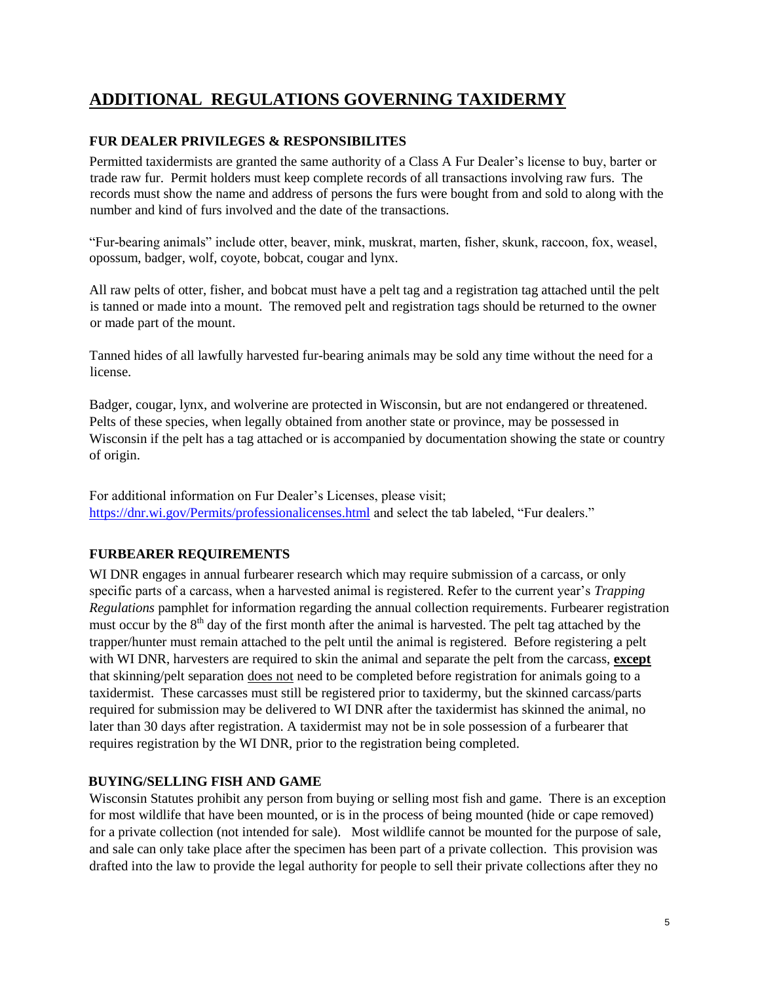## **ADDITIONAL REGULATIONS GOVERNING TAXIDERMY**

### **FUR DEALER PRIVILEGES & RESPONSIBILITES**

Permitted taxidermists are granted the same authority of a Class A Fur Dealer's license to buy, barter or trade raw fur. Permit holders must keep complete records of all transactions involving raw furs. The records must show the name and address of persons the furs were bought from and sold to along with the number and kind of furs involved and the date of the transactions.

"Fur-bearing animals" include otter, beaver, mink, muskrat, marten, fisher, skunk, raccoon, fox, weasel, opossum, badger, wolf, coyote, bobcat, cougar and lynx.

All raw pelts of otter, fisher, and bobcat must have a pelt tag and a registration tag attached until the pelt is tanned or made into a mount. The removed pelt and registration tags should be returned to the owner or made part of the mount.

Tanned hides of all lawfully harvested fur-bearing animals may be sold any time without the need for a license.

Badger, cougar, lynx, and wolverine are protected in Wisconsin, but are not endangered or threatened. Pelts of these species, when legally obtained from another state or province, may be possessed in Wisconsin if the pelt has a tag attached or is accompanied by documentation showing the state or country of origin.

For additional information on Fur Dealer's Licenses, please visit; <https://dnr.wi.gov/Permits/professionalicenses.html> and select the tab labeled, "Fur dealers."

### **FURBEARER REQUIREMENTS**

WI DNR engages in annual furbearer research which may require submission of a carcass, or only specific parts of a carcass, when a harvested animal is registered. Refer to the current year's *Trapping Regulations* pamphlet for information regarding the annual collection requirements. Furbearer registration must occur by the  $8<sup>th</sup>$  day of the first month after the animal is harvested. The pelt tag attached by the trapper/hunter must remain attached to the pelt until the animal is registered. Before registering a pelt with WI DNR, harvesters are required to skin the animal and separate the pelt from the carcass, **except** that skinning/pelt separation does not need to be completed before registration for animals going to a taxidermist. These carcasses must still be registered prior to taxidermy, but the skinned carcass/parts required for submission may be delivered to WI DNR after the taxidermist has skinned the animal, no later than 30 days after registration. A taxidermist may not be in sole possession of a furbearer that requires registration by the WI DNR, prior to the registration being completed.

### **BUYING/SELLING FISH AND GAME**

Wisconsin Statutes prohibit any person from buying or selling most fish and game. There is an exception for most wildlife that have been mounted, or is in the process of being mounted (hide or cape removed) for a private collection (not intended for sale). Most wildlife cannot be mounted for the purpose of sale, and sale can only take place after the specimen has been part of a private collection. This provision was drafted into the law to provide the legal authority for people to sell their private collections after they no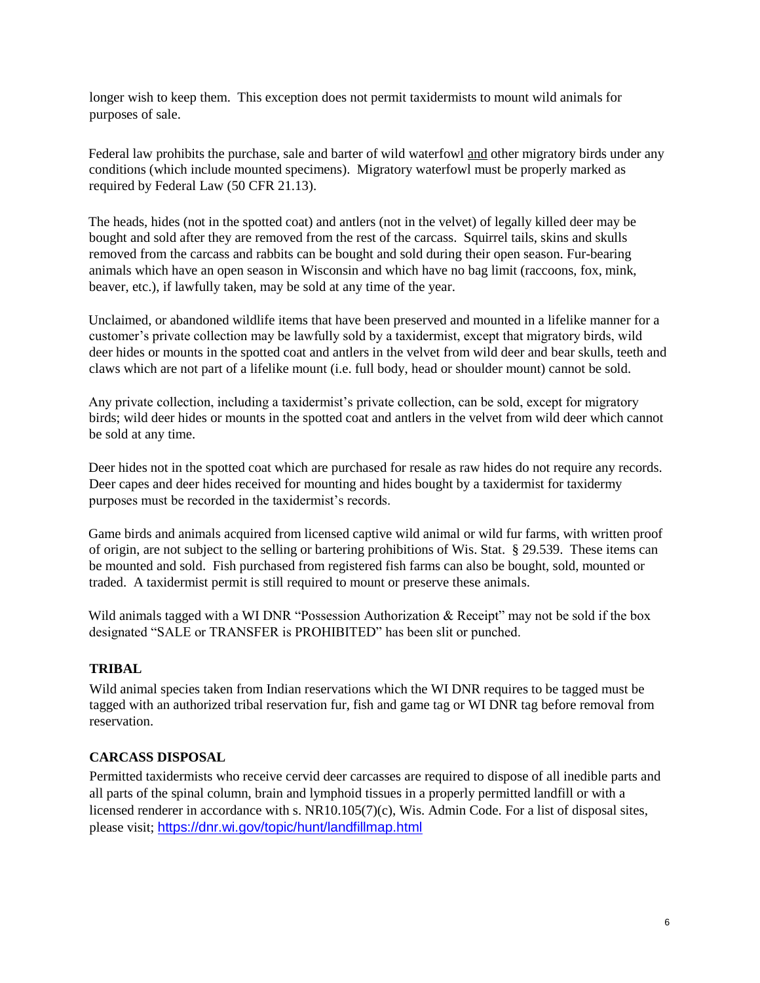longer wish to keep them. This exception does not permit taxidermists to mount wild animals for purposes of sale.

Federal law prohibits the purchase, sale and barter of wild waterfowl and other migratory birds under any conditions (which include mounted specimens). Migratory waterfowl must be properly marked as required by Federal Law (50 CFR 21.13).

The heads, hides (not in the spotted coat) and antlers (not in the velvet) of legally killed deer may be bought and sold after they are removed from the rest of the carcass. Squirrel tails, skins and skulls removed from the carcass and rabbits can be bought and sold during their open season. Fur-bearing animals which have an open season in Wisconsin and which have no bag limit (raccoons, fox, mink, beaver, etc.), if lawfully taken, may be sold at any time of the year.

Unclaimed, or abandoned wildlife items that have been preserved and mounted in a lifelike manner for a customer's private collection may be lawfully sold by a taxidermist, except that migratory birds, wild deer hides or mounts in the spotted coat and antlers in the velvet from wild deer and bear skulls, teeth and claws which are not part of a lifelike mount (i.e. full body, head or shoulder mount) cannot be sold.

Any private collection, including a taxidermist's private collection, can be sold, except for migratory birds; wild deer hides or mounts in the spotted coat and antlers in the velvet from wild deer which cannot be sold at any time.

Deer hides not in the spotted coat which are purchased for resale as raw hides do not require any records. Deer capes and deer hides received for mounting and hides bought by a taxidermist for taxidermy purposes must be recorded in the taxidermist's records.

Game birds and animals acquired from licensed captive wild animal or wild fur farms, with written proof of origin, are not subject to the selling or bartering prohibitions of Wis. Stat. § 29.539. These items can be mounted and sold. Fish purchased from registered fish farms can also be bought, sold, mounted or traded. A taxidermist permit is still required to mount or preserve these animals.

Wild animals tagged with a WI DNR "Possession Authorization & Receipt" may not be sold if the box designated "SALE or TRANSFER is PROHIBITED" has been slit or punched.

### **TRIBAL**

Wild animal species taken from Indian reservations which the WI DNR requires to be tagged must be tagged with an authorized tribal reservation fur, fish and game tag or WI DNR tag before removal from reservation.

### **CARCASS DISPOSAL**

Permitted taxidermists who receive cervid deer carcasses are required to dispose of all inedible parts and all parts of the spinal column, brain and lymphoid tissues in a properly permitted landfill or with a licensed renderer in accordance with s. NR10.105(7)(c), Wis. Admin Code. For a list of disposal sites, please visit; <https://dnr.wi.gov/topic/hunt/landfillmap.html>